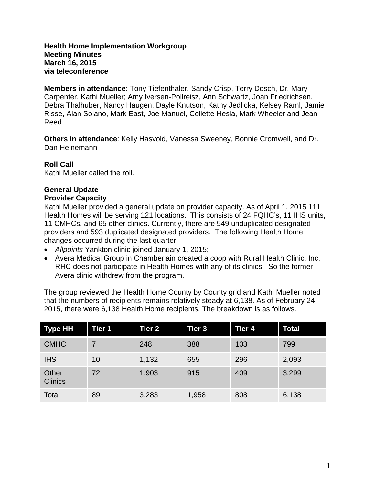## **Health Home Implementation Workgroup Meeting Minutes March 16, 2015 via teleconference**

**Members in attendance**: Tony Tiefenthaler, Sandy Crisp, Terry Dosch, Dr. Mary Carpenter, Kathi Mueller; Amy Iversen-Pollreisz, Ann Schwartz, Joan Friedrichsen, Debra Thalhuber, Nancy Haugen, Dayle Knutson, Kathy Jedlicka, Kelsey Raml, Jamie Risse, Alan Solano, Mark East, Joe Manuel, Collette Hesla, Mark Wheeler and Jean Reed.

**Others in attendance**: Kelly Hasvold, Vanessa Sweeney, Bonnie Cromwell, and Dr. Dan Heinemann

## **Roll Call**

Kathi Mueller called the roll.

# **General Update**

## **Provider Capacity**

Kathi Mueller provided a general update on provider capacity. As of April 1, 2015 111 Health Homes will be serving 121 locations. This consists of 24 FQHC's, 11 IHS units, 11 CMHCs, and 65 other clinics. Currently, there are 549 unduplicated designated providers and 593 duplicated designated providers. The following Health Home changes occurred during the last quarter:

- *Allpoints* Yankton clinic joined January 1, 2015;
- Avera Medical Group in Chamberlain created a coop with Rural Health Clinic, Inc. RHC does not participate in Health Homes with any of its clinics. So the former Avera clinic withdrew from the program.

The group reviewed the Health Home County by County grid and Kathi Mueller noted that the numbers of recipients remains relatively steady at 6,138. As of February 24, 2015, there were 6,138 Health Home recipients. The breakdown is as follows.

| <b>Type HH</b>          | <b>Tier 1</b> | Tier 2 | Tier 3 | Tier 4 | <b>Total</b> |
|-------------------------|---------------|--------|--------|--------|--------------|
| <b>CMHC</b>             |               | 248    | 388    | 103    | 799          |
| <b>IHS</b>              | 10            | 1,132  | 655    | 296    | 2,093        |
| Other<br><b>Clinics</b> | 72            | 1,903  | 915    | 409    | 3,299        |
| Total                   | 89            | 3,283  | 1,958  | 808    | 6,138        |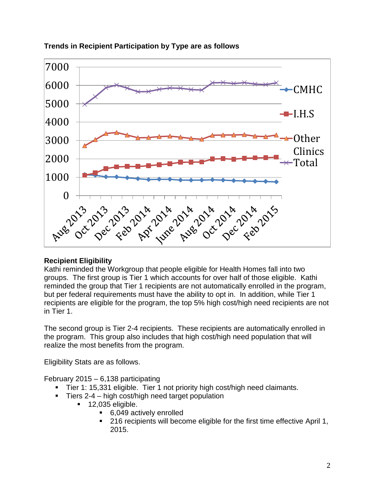

## **Trends in Recipient Participation by Type are as follows**

## **Recipient Eligibility**

Kathi reminded the Workgroup that people eligible for Health Homes fall into two groups. The first group is Tier 1 which accounts for over half of those eligible. Kathi reminded the group that Tier 1 recipients are not automatically enrolled in the program, but per federal requirements must have the ability to opt in. In addition, while Tier 1 recipients are eligible for the program, the top 5% high cost/high need recipients are not in Tier 1.

The second group is Tier 2-4 recipients. These recipients are automatically enrolled in the program. This group also includes that high cost/high need population that will realize the most benefits from the program.

Eligibility Stats are as follows.

February 2015 – 6,138 participating

- Tier 1: 15,331 eligible. Tier 1 not priority high cost/high need claimants.
- $\blacksquare$  Tiers 2-4 high cost/high need target population
	- $\blacksquare$  12,035 eligible.
		- 6,049 actively enrolled
		- 216 recipients will become eligible for the first time effective April 1, 2015.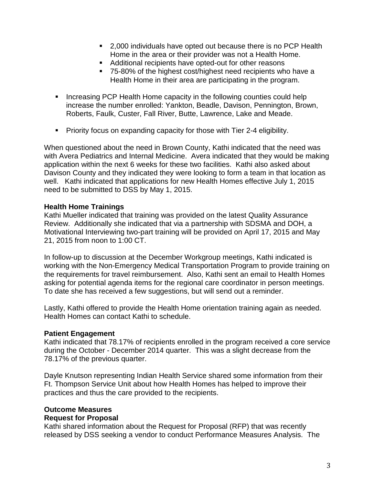- 2,000 individuals have opted out because there is no PCP Health Home in the area or their provider was not a Health Home.
- Additional recipients have opted-out for other reasons
- 75-80% of the highest cost/highest need recipients who have a Health Home in their area are participating in the program.
- **Increasing PCP Health Home capacity in the following counties could help** increase the number enrolled: Yankton, Beadle, Davison, Pennington, Brown, Roberts, Faulk, Custer, Fall River, Butte, Lawrence, Lake and Meade.
- **Priority focus on expanding capacity for those with Tier 2-4 eligibility.**

When questioned about the need in Brown County, Kathi indicated that the need was with Avera Pediatrics and Internal Medicine. Avera indicated that they would be making application within the next 6 weeks for these two facilities. Kathi also asked about Davison County and they indicated they were looking to form a team in that location as well. Kathi indicated that applications for new Health Homes effective July 1, 2015 need to be submitted to DSS by May 1, 2015.

## **Health Home Trainings**

Kathi Mueller indicated that training was provided on the latest Quality Assurance Review. Additionally she indicated that via a partnership with SDSMA and DOH, a Motivational Interviewing two-part training will be provided on April 17, 2015 and May 21, 2015 from noon to 1:00 CT.

In follow-up to discussion at the December Workgroup meetings, Kathi indicated is working with the Non-Emergency Medical Transportation Program to provide training on the requirements for travel reimbursement. Also, Kathi sent an email to Health Homes asking for potential agenda items for the regional care coordinator in person meetings. To date she has received a few suggestions, but will send out a reminder.

Lastly, Kathi offered to provide the Health Home orientation training again as needed. Health Homes can contact Kathi to schedule.

#### **Patient Engagement**

Kathi indicated that 78.17% of recipients enrolled in the program received a core service during the October - December 2014 quarter. This was a slight decrease from the 78.17% of the previous quarter.

Dayle Knutson representing Indian Health Service shared some information from their Ft. Thompson Service Unit about how Health Homes has helped to improve their practices and thus the care provided to the recipients.

#### **Outcome Measures**

#### **Request for Proposal**

Kathi shared information about the Request for Proposal (RFP) that was recently released by DSS seeking a vendor to conduct Performance Measures Analysis. The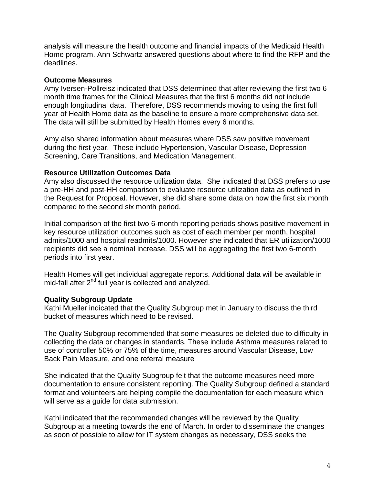analysis will measure the health outcome and financial impacts of the Medicaid Health Home program. Ann Schwartz answered questions about where to find the RFP and the deadlines.

#### **Outcome Measures**

Amy Iversen-Pollreisz indicated that DSS determined that after reviewing the first two 6 month time frames for the Clinical Measures that the first 6 months did not include enough longitudinal data. Therefore, DSS recommends moving to using the first full year of Health Home data as the baseline to ensure a more comprehensive data set. The data will still be submitted by Health Homes every 6 months.

Amy also shared information about measures where DSS saw positive movement during the first year. These include Hypertension, Vascular Disease, Depression Screening, Care Transitions, and Medication Management.

## **Resource Utilization Outcomes Data**

Amy also discussed the resource utilization data. She indicated that DSS prefers to use a pre-HH and post-HH comparison to evaluate resource utilization data as outlined in the Request for Proposal. However, she did share some data on how the first six month compared to the second six month period.

Initial comparison of the first two 6-month reporting periods shows positive movement in key resource utilization outcomes such as cost of each member per month, hospital admits/1000 and hospital readmits/1000. However she indicated that ER utilization/1000 recipients did see a nominal increase. DSS will be aggregating the first two 6-month periods into first year.

Health Homes will get individual aggregate reports. Additional data will be available in mid-fall after 2<sup>nd</sup> full year is collected and analyzed.

## **Quality Subgroup Update**

Kathi Mueller indicated that the Quality Subgroup met in January to discuss the third bucket of measures which need to be revised.

The Quality Subgroup recommended that some measures be deleted due to difficulty in collecting the data or changes in standards. These include Asthma measures related to use of controller 50% or 75% of the time, measures around Vascular Disease, Low Back Pain Measure, and one referral measure

She indicated that the Quality Subgroup felt that the outcome measures need more documentation to ensure consistent reporting. The Quality Subgroup defined a standard format and volunteers are helping compile the documentation for each measure which will serve as a guide for data submission.

Kathi indicated that the recommended changes will be reviewed by the Quality Subgroup at a meeting towards the end of March. In order to disseminate the changes as soon of possible to allow for IT system changes as necessary, DSS seeks the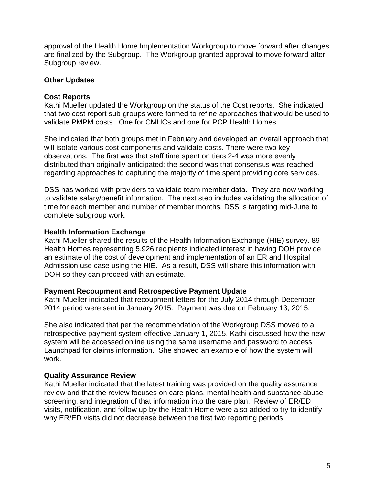approval of the Health Home Implementation Workgroup to move forward after changes are finalized by the Subgroup. The Workgroup granted approval to move forward after Subgroup review.

#### **Other Updates**

## **Cost Reports**

Kathi Mueller updated the Workgroup on the status of the Cost reports. She indicated that two cost report sub-groups were formed to refine approaches that would be used to validate PMPM costs. One for CMHCs and one for PCP Health Homes

She indicated that both groups met in February and developed an overall approach that will isolate various cost components and validate costs. There were two key observations. The first was that staff time spent on tiers 2-4 was more evenly distributed than originally anticipated; the second was that consensus was reached regarding approaches to capturing the majority of time spent providing core services.

DSS has worked with providers to validate team member data. They are now working to validate salary/benefit information. The next step includes validating the allocation of time for each member and number of member months. DSS is targeting mid-June to complete subgroup work.

#### **Health Information Exchange**

Kathi Mueller shared the results of the Health Information Exchange (HIE) survey. 89 Health Homes representing 5,926 recipients indicated interest in having DOH provide an estimate of the cost of development and implementation of an ER and Hospital Admission use case using the HIE. As a result, DSS will share this information with DOH so they can proceed with an estimate.

#### **Payment Recoupment and Retrospective Payment Update**

Kathi Mueller indicated that recoupment letters for the July 2014 through December 2014 period were sent in January 2015. Payment was due on February 13, 2015.

She also indicated that per the recommendation of the Workgroup DSS moved to a retrospective payment system effective January 1, 2015. Kathi discussed how the new system will be accessed online using the same username and password to access Launchpad for claims information. She showed an example of how the system will work.

## **Quality Assurance Review**

Kathi Mueller indicated that the latest training was provided on the quality assurance review and that the review focuses on care plans, mental health and substance abuse screening, and integration of that information into the care plan. Review of ER/ED visits, notification, and follow up by the Health Home were also added to try to identify why ER/ED visits did not decrease between the first two reporting periods.